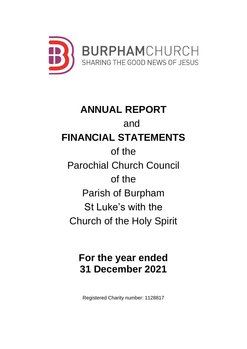

# **ANNUAL REPORT** and **FINANCIAL STATEMENTS** of the Parochial Church Council of the Parish of Burpham St Luke's with the Church of the Holy Spirit

# **For the year ended 31 December 2021**

Registered Charity number: 1128817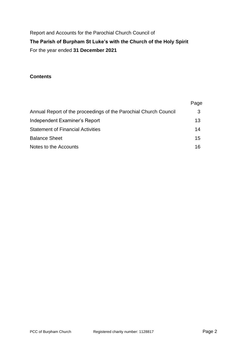Report and Accounts for the Parochial Church Council of **The Parish of Burpham St Luke's with the Church of the Holy Spirit** For the year ended **31 December 2021**

#### **Contents**

|                                                                  | Page |
|------------------------------------------------------------------|------|
| Annual Report of the proceedings of the Parochial Church Council | 3    |
| Independent Examiner's Report                                    | 13   |
| <b>Statement of Financial Activities</b>                         | 14   |
| <b>Balance Sheet</b>                                             | 15   |
| Notes to the Accounts                                            | 16   |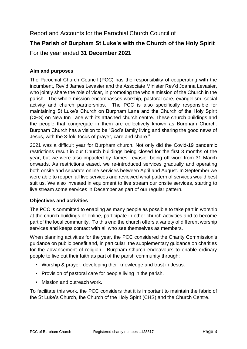## Report and Accounts for the Parochial Church Council of **The Parish of Burpham St Luke's with the Church of the Holy Spirit** For the year ended **31 December 2021**

#### **Aim and purposes**

The Parochial Church Council (PCC) has the responsibility of cooperating with the incumbent, Rev'd James Levasier and the Associate Minister Rev'd Joanna Levasier, who jointly share the role of vicar, in promoting the whole mission of the Church in the parish. The whole mission encompasses worship, pastoral care, evangelism, social activity and church partnerships. The PCC is also specifically responsible for maintaining St Luke's Church on Burpham Lane and the Church of the Holy Spirit (CHS) on New Inn Lane with its attached church centre. These church buildings and the people that congregate in them are collectively known as Burpham Church. Burpham Church has a vision to be "God's family living and sharing the good news of Jesus, with the 3-fold focus of prayer, care and share."

2021 was a difficult year for Burpham church. Not only did the Covid-19 pandemic restrictions result in our Church buildings being closed for the first 3 months of the year, but we were also impacted by James Levasier being off work from 31 March onwards. As restrictions eased, we re-introduced services gradually and operating both onsite and separate online services between April and August. In September we were able to reopen all live services and reviewed what pattern of services would best suit us. We also invested in equipment to live stream our onsite services, starting to live stream some services in December as part of our regular pattern.

#### **Objectives and activities**

The PCC is committed to enabling as many people as possible to take part in worship at the church buildings or online, participate in other church activities and to become part of the local community. To this end the church offers a variety of different worship services and keeps contact with all who see themselves as members.

When planning activities for the year, the PCC considered the Charity Commission's guidance on public benefit and, in particular, the supplementary guidance on charities for the advancement of religion. Burpham Church endeavours to enable ordinary people to live out their faith as part of the parish community through:

- Worship & prayer: developing their knowledge and trust in Jesus.
- Provision of pastoral care for people living in the parish.
- Mission and outreach work.

To facilitate this work, the PCC considers that it is important to maintain the fabric of the St Luke's Church, the Church of the Holy Spirit (CHS) and the Church Centre.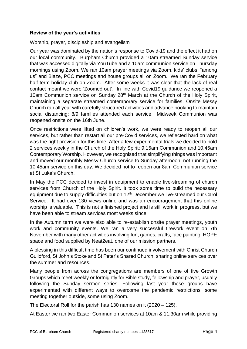#### **Review of the year's activities**

#### Worship, prayer, discipleship and evangelism

Our year was dominated by the nation's response to Covid-19 and the effect it had on our local community. Burpham Church provided a 10am streamed Sunday service that was accessed digitally via YouTube and a 10am communion service on Thursday mornings using Zoom. We ran 10am prayer meetings via Zoom, kids' clubs, "among us" and Blaze, PCC meetings and house groups all on Zoom. We ran the February half term holiday club on Zoom. After some weeks it was clear that the lack of real contact meant we were 'Zoomed out'. In line with Covid19 guidance we reopened a 10am Communion service on Sunday 28<sup>th</sup> March at the Church of the Holy Spirit, maintaining a separate streamed contemporary service for families. Onsite Messy Church ran all year with carefully structured activities and advance booking to maintain social distancing; 8/9 families attended each service. Midweek Communion was reopened onsite on the 16th June.

Once restrictions were lifted on children's work, we were ready to reopen all our services, but rather than restart all our pre-Covid services, we reflected hard on what was the right provision for this time. After a few experimental trials we decided to hold 2 services weekly in the Church of the Holy Spirit: 9.15am Communion and 10.45am Contemporary Worship. However, we recognised that simplifying things was important and moved our monthly Messy Church service to Sunday afternoon, not running the 10.45am service on this day. We decided not to reopen our 8am Communion service at St Luke's Church.

In May the PCC decided to invest in equipment to enable live-streaming of church services from Church of the Holy Spirit. It took some time to build the necessary equipment due to supply difficulties but on 12<sup>th</sup> December we live-streamed our Carol Service. It had over 130 views online and was an encouragement that this online worship is valuable. This is not a finished project and is still work in progress, but we have been able to stream services most weeks since.

In the Autumn term we were also able to re-establish onsite prayer meetings, youth work and community events. We ran a very successful firework event on 7th November with many other activities involving fun, games, crafts, face painting, HOPE space and food supplied by Neat2eat, one of our mission partners.

A blessing in this difficult time has been our continued involvement with Christ Church Guildford, St John's Stoke and St Peter's Shared Church, sharing online services over the summer and resources.

Many people from across the congregations are members of one of five Growth Groups which meet weekly or fortnightly for Bible study, fellowship and prayer, usually following the Sunday sermon series. Following last year these groups have experimented with different ways to overcome the pandemic restrictions: some meeting together outside, some using Zoom.

The Electoral Roll for the parish has 130 names on it (2020 – 125).

At Easter we ran two Easter Communion services at 10am & 11:30am while providing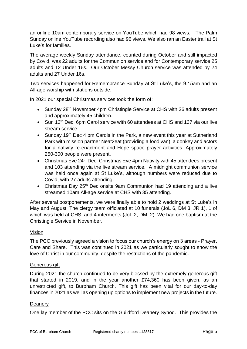an online 10am contemporary service on YouTube which had 98 views. The Palm Sunday online YouTube recording also had 96 views. We also ran an Easter trail at St Luke's for families.

The average weekly Sunday attendance, counted during October and still impacted by Covid, was 22 adults for the Communion service and for Contemporary service 25 adults and 12 Under 16s. Our October Messy Church service was attended by 24 adults and 27 Under 16s.

Two services happened for Remembrance Sunday at St Luke's, the 9.15am and an All-age worship with stations outside.

In 2021 our special Christmas services took the form of:

- Sunday 28<sup>th</sup> November 4pm Christingle Service at CHS with 36 adults present and approximately 45 children.
- Sun 12<sup>th</sup> Dec, 6pm Carol service with 60 attendees at CHS and 137 via our live stream service.
- Sunday 19<sup>th</sup> Dec 4 pm Carols in the Park, a new event this year at Sutherland Park with mission partner Neat2eat (providing a food van), a donkey and actors for a nativity re-enactment and Hope space prayer activities. Approximately 250-300 people were present.
- Christmas Eve 24<sup>th</sup> Dec, Christmas Eve 4pm Nativity with 45 attendees present and 103 attending via the live stream service. A midnight communion service was held once again at St Luke's, although numbers were reduced due to Covid, with 27 adults attending.
- Christmas Day 25<sup>th</sup> Dec onsite 9am Communion had 19 attending and a live streamed 10am All-age service at CHS with 35 attending.

After several postponements, we were finally able to hold 2 weddings at St Luke's in May and August. The clergy team officiated at 10 funerals (JoL 6, DM 3, JR 1), 1 of which was held at CHS, and 4 interments (JoL 2, DM 2). We had one baptism at the Christingle Service in November.

#### Vision

The PCC previously agreed a vision to focus our church's energy on 3 areas - Prayer, Care and Share. This was continued in 2021 as we particularly sought to show the love of Christ in our community, despite the restrictions of the pandemic.

#### Generous gift

During 2021 the church continued to be very blessed by the extremely generous gift that started in 2019, and in the year another £74,360 has been given, as an unrestricted gift, to Burpham Church. This gift has been vital for our day-to-day finances in 2021 as well as opening up options to implement new projects in the future.

#### **Deanery**

One lay member of the PCC sits on the Guildford Deanery Synod. This provides the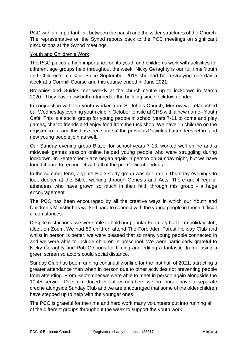PCC with an important link between the parish and the wider structures of the Church. The representative on the Synod reports back to the PCC meetings on significant discussions at the Synod meetings.

#### Youth and Children's Work

The PCC places a high importance on its youth and children's work with activities for different age groups held throughout the week. Nicky Geraghty is our full time Youth and Children's minister. Since September 2019 she had been studying one day a week at a Cornhill Course and this course ended in June 2021.

Brownies and Guides met weekly at the church centre up to lockdown in March 2020. They have now both returned to the building since lockdown ended.

In conjunction with the youth worker from St John's Church, Merrow we relaunched our Wednesday evening youth club in October, onsite at CHS with a new name– Youth Café. This is a social group for young people in school years 7-11 to come and play games, chat to friends and enjoy food from the tuck shop. We have 16 children on the register so far and this has seen some of the previous Download attendees return and new young people join as well.

Our Sunday evening group Blaze, for school years 7-13, worked well online and a midweek games session online helped young people who were struggling during lockdown. In September Blaze began again in person on Sunday night, but we have found it hard to reconnect with all of the pre-Covid attendees.

In the summer term, a youth Bible study group was set up on Thursday evenings to look deeper at the Bible, working through Genesis and Acts. There are 4 regular attendees who have grown so much in their faith through this group - a huge encouragement.

The PCC has been encouraged by all the creative ways in which our Youth and Children's Minister has worked hard to connect with the young people in these difficult circumstances.

Despite restrictions, we were able to hold our popular February half term holiday club, albeit on Zoom. We had 50 children attend The Forbidden Forest Holiday Club and whilst in person is better, we were pleased that so many young people connected in and we were able to include children in preschool. We were particularly grateful to Nicky Geraghty and Rob Gibbons for filming and editing a fantastic drama using a green screen so actors could social distance.

Sunday Club has been running continually online for the first half of 2021, attracting a greater attendance than when in person due to other activities not preventing people from attending. From September we were able to meet in person again alongside the 10:45 service. Due to reduced volunteer numbers we no longer have a separate creche alongside Sunday Club and we are encouraged that some of the older children have stepped up to help with the younger ones.

The PCC is grateful for the time and hard work many volunteers put into running all of the different groups throughout the week to support the youth work.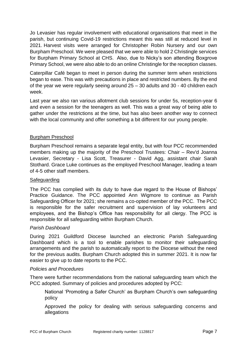Jo Levasier has regular involvement with educational organisations that meet in the parish, but continuing Covid-19 restrictions meant this was still at reduced level in 2021. Harvest visits were arranged for Christopher Robin Nursery and our own Burpham Preschool. We were pleased that we were able to hold 2 Christingle services for Burpham Primary School at CHS. Also, due to Nicky's son attending Boxgrove Primary School, we were also able to do an online Christingle for the reception classes.

Caterpillar Café began to meet in person during the summer term when restrictions began to ease. This was with precautions in place and restricted numbers. By the end of the year we were regularly seeing around 25 – 30 adults and 30 - 40 children each week.

Last year we also ran various allotment club sessions for under 5s, reception-year 6 and even a session for the teenagers as well. This was a great way of being able to gather under the restrictions at the time, but has also been another way to connect with the local community and offer something a bit different for our young people.

#### Burpham Preschool

Burpham Preschool remains a separate legal entity, but with four PCC recommended members making up the majority of the Preschool Trustees: Chair – Rev'd Joanna Levasier, Secretary - Lisa Scott, Treasurer - David Agg, assistant chair Sarah Stothard. Grace Luke continues as the employed Preschool Manager, leading a team of 4-5 other staff members.

#### **Safeguarding**

The PCC has complied with its duty to have due regard to the House of Bishops' Practice Guidance. The PCC appointed Ann Wigmore to continue as Parish Safeguarding Officer for 2021; she remains a co-opted member of the PCC. The PCC is responsible for the safer recruitment and supervision of lay volunteers and employees, and the Bishop's Office has responsibility for all clergy. The PCC is responsible for all safeguarding within Burpham Church.

#### *Parish Dashboard*

During 2021 Guildford Diocese launched an electronic Parish Safeguarding Dashboard which is a tool to enable parishes to monitor their safeguarding arrangements and the parish to automatically report to the Diocese without the need for the previous audits. Burpham Church adopted this in summer 2021. It is now far easier to give up to date reports to the PCC.

#### *Policies and Procedures*

There were further recommendations from the national safeguarding team which the PCC adopted. Summary of policies and procedures adopted by PCC:

National 'Promoting a Safer Church' as Burpham Church's own safeguarding policy

Approved the policy for dealing with serious safeguarding concerns and allegations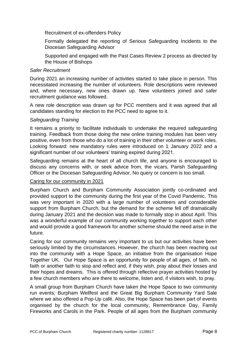Recruitment of ex-offenders Policy

Formally delegated the reporting of Serious Safeguarding Incidents to the Diocesan Safeguarding Advisor

Supported and engaged with the Past Cases Review 2 process as directed by the House of Bishops

#### *Safer Recruitment*

During 2021 an increasing number of activities started to take place in person. This necessitated increasing the number of volunteers. Role descriptions were reviewed and, where necessary, new ones drawn up. New volunteers joined and safer recruitment guidance was followed.

A new role description was drawn up for PCC members and it was agreed that all candidates standing for election to the PCC need to agree to it.

#### *Safeguarding Training*

It remains a priority to facilitate individuals to undertake the required safeguarding training. Feedback from those doing the new online training modules has been very positive, even from those who do a lot of training in their other volunteer or work roles. Looking forward: new mandatory rules were introduced on 1 January 2022 and a significant number of our volunteers' training expired during 2021.

Safeguarding remains at the heart of all church life, and anyone is encouraged to discuss any concerns with, or seek advice from, the vicars, Parish Safeguarding Officer or the Diocesan Safeguarding Advisor. No query or concern is too small.

#### Caring for our community in 2021

Burpham Church and Burpham Community Association jointly co-ordinated and provided support to the community during the first year of the Covid Pandemic. This was very important in 2020 with a large number of volunteers and considerable support from Burpham Church, but the demand for the scheme fell off dramatically during January 2021 and the decision was made to formally stop in about April. This was a wonderful example of our community working together to support each other and would provide a good framework for another scheme should the need arise in the future.

Caring for our community remains very important to us but our activities have been seriously limited by the circumstances. However, the church has been reaching out into the community with a Hope Space, an initiative from the organisation Hope Together UK. Our Hope Space is an opportunity for people of all ages, of faith, no faith or another faith to stop and reflect and, if they wish, pray about their losses and their hopes and dreams. This is offered through reflective prayer activities hosted by a few church members who are there to welcome, listen and, if visitors wish, to pray.

A small group from Burpham Church have taken the Hope Space to two community run events; Burpham Wellfest and the Great Big Burpham Community Yard Sale where we also offered a Pop-Up café. Also, the Hope Space has been part of events organised by the church for the local community, Remembrance Day, Family Fireworks and Carols in the Park. People of all ages from the Burpham community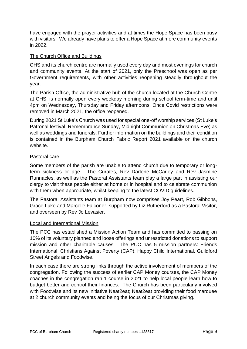have engaged with the prayer activities and at times the Hope Space has been busy with visitors. We already have plans to offer a Hope Space at more community events in 2022.

#### The Church Office and Buildings

CHS and its church centre are normally used every day and most evenings for church and community events. At the start of 2021, only the Preschool was open as per Government requirements, with other activities reopening steadily throughout the year.

The Parish Office, the administrative hub of the church located at the Church Centre at CHS, is normally open every weekday morning during school term-time and until 4pm on Wednesday, Thursday and Friday afternoons. Once Covid restrictions were removed in March 2021, the office reopened.

During 2021 St Luke's Church was used for special one-off worship services (St Luke's Patronal festival, Remembrance Sunday, Midnight Communion on Christmas Eve) as well as weddings and funerals. Further information on the buildings and their condition is contained in the Burpham Church Fabric Report 2021 available on the church website.

#### Pastoral care

Some members of the parish are unable to attend church due to temporary or longterm sickness or age. The Curates, Rev Darlene McCarley and Rev Jasmine Runnacles, as well as the Pastoral Assistants team play a large part in assisting our clergy to visit these people either at home or in hospital and to celebrate communion with them when appropriate, whilst keeping to the latest COVID guidelines.

The Pastoral Assistants team at Burpham now comprises Joy Peart, Rob Gibbons, Grace Luke and Marcelle Falconer, supported by Liz Rutherford as a Pastoral Visitor, and overseen by Rev Jo Levasier.

#### Local and International Mission

The PCC has established a Mission Action Team and has committed to passing on 10% of its voluntary planned and loose offerings and unrestricted donations to support mission and other charitable causes. The PCC has 5 mission partners: Friends International, Christians Against Poverty (CAP), Happy Child International, Guildford Street Angels and Foodwise.

In each case there are strong links through the active involvement of members of the congregation. Following the success of earlier CAP Money courses, the CAP Money coaches in the congregation ran 1 course in 2021 to help local people learn how to budget better and control their finances. The Church has been particularly involved with Foodwise and its new initiative Neat2eat; Neat2eat providing their food marquee at 2 church community events and being the focus of our Christmas giving.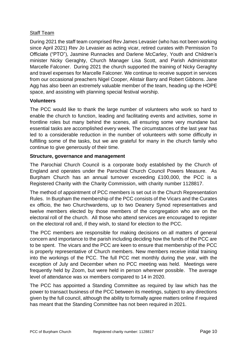#### Staff Team

During 2021 the staff team comprised Rev James Levasier (who has not been working since April 2021) Rev Jo Levasier as acting vicar, retired curates with Permission To Officiate ("PTO"), Jasmine Runnacles and Darlene McCarley, Youth and Children's minister Nicky Geraghty, Church Manager Lisa Scott, and Parish Administrator Marcelle Falconer. During 2021 the church supported the training of Nicky Geraghty and travel expenses for Marcelle Falconer. We continue to receive support in services from our occasional preachers Nigel Cooper, Alistair Barry and Robert Gibbons. Jane Agg has also been an extremely valuable member of the team, heading up the HOPE space, and assisting with planning special festival worship.

#### **Volunteers**

The PCC would like to thank the large number of volunteers who work so hard to enable the church to function, leading and facilitating events and activities, some in frontline roles but many behind the scenes, all ensuring some very mundane but essential tasks are accomplished every week. The circumstances of the last year has led to a considerable reduction in the number of volunteers with some difficulty in fulfilling some of the tasks, but we are grateful for many in the church family who continue to give generously of their time.

#### **Structure, governance and management**

The Parochial Church Council is a corporate body established by the Church of England and operates under the Parochial Church Council Powers Measure. As Burpham Church has an annual turnover exceeding £100,000, the PCC is a Registered Charity with the Charity Commission, with charity number 1128817.

The method of appointment of PCC members is set out in the Church Representation Rules. In Burpham the membership of the PCC consists of the Vicars and the Curates ex officio, the two Churchwardens, up to two Deanery Synod representatives and twelve members elected by those members of the congregation who are on the electoral roll of the church. All those who attend services are encouraged to register on the electoral roll and, if they wish, to stand for election to the PCC.

The PCC members are responsible for making decisions on all matters of general concern and importance to the parish including deciding how the funds of the PCC are to be spent. The vicars and the PCC are keen to ensure that membership of the PCC is properly representative of Church members. New members receive initial training into the workings of the PCC. The full PCC met monthly during the year, with the exception of July and December when no PCC meeting was held. Meetings were frequently held by Zoom, but were held in person wherever possible. The average level of attendance was xx members compared to 14 in 2020.

The PCC has appointed a Standing Committee as required by law which has the power to transact business of the PCC between its meetings, subject to any directions given by the full council, although the ability to formally agree matters online if required has meant that the Standing Committee has not been required in 2021.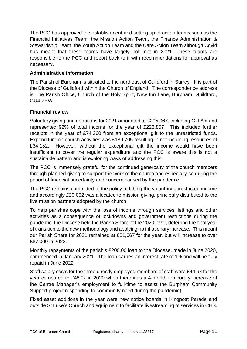The PCC has approved the establishment and setting up of action teams such as the Financial Initiatives Team, the Mission Action Team, the Finance Administration & Stewardship Team, the Youth Action Team and the Care Action Team although Covid has meant that these teams have largely not met in 2021. These teams are responsible to the PCC and report back to it with recommendations for approval as necessary.

#### **Administrative information**

The Parish of Burpham is situated to the northeast of Guildford in Surrey. It is part of the Diocese of Guildford within the Church of England. The correspondence address is The Parish Office, Church of the Holy Spirit, New Inn Lane, Burpham, Guildford, GU4 7HW.

#### **Financial review**

Voluntary giving and donations for 2021 amounted to £205,967, including Gift Aid and represented 92% of total income for the year of £223,857. This included further receipts in the year of £74,360 from an exceptional gift to the unrestricted funds. Expenditure on church activities was £189,705 resulting in net incoming resources of £34,152. However, without the exceptional gift the income would have been insufficient to cover the regular expenditure and the PCC is aware this is not a sustainable pattern and is exploring ways of addressing this.

The PCC is immensely grateful for the continued generosity of the church members through planned giving to support the work of the church and especially so during the period of financial uncertainty and concern caused by the pandemic.

The PCC remains committed to the policy of tithing the voluntary unrestricted income and accordingly £20,052 was allocated to mission giving, principally distributed to the five mission partners adopted by the church.

To help parishes cope with the loss of income through services, lettings and other activities as a consequence of lockdowns and government restrictions during the pandemic, the Diocese held the Parish Share at the 2020 level, deferring the final year of transition to the new methodology and applying no inflationary increase. This meant our Parish Share for 2021 remained at £81,667 for the year, but will increase to over £87,000 in 2022.

Monthly repayments of the parish's £200,00 loan to the Diocese, made in June 2020, commenced in January 2021. The loan carries an interest rate of 1% and will be fully repaid in June 2022.

Staff salary costs for the three directly employed members of staff were £44.9k for the year compared to £48.0k in 2020 when there was a 4-month temporary increase of the Centre Manager's employment to full-time to assist the Burpham Community Support project responding to community need during the pandemic).

Fixed asset additions in the year were new notice boards in Kingpost Parade and outside St Luke's Church and equipment to facilitate livestreaming of services in CHS.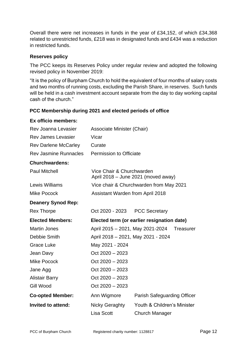Overall there were net increases in funds in the year of £34,152, of which £34,368 related to unrestricted funds, £218 was in designated funds and £434 was a reduction in restricted funds.

#### **Reserves policy**

The PCC keeps its Reserves Policy under regular review and adopted the following revised policy in November 2019:

"It is the policy of Burpham Church to hold the equivalent of four months of salary costs and two months of running costs, excluding the Parish Share, in reserves. Such funds will be held in a cash investment account separate from the day to day working capital cash of the church."

#### **PCC Membership during 2021 and elected periods of office**

### **Ex officio members:**

| Rev Joanna Levasier         | Associate Minister (Chair)              |                                            |
|-----------------------------|-----------------------------------------|--------------------------------------------|
| <b>Rev James Levasier</b>   | Vicar                                   |                                            |
| <b>Rev Darlene McCarley</b> | Curate                                  |                                            |
| Rev Jasmine Runnacles       | Permission to Officiate                 |                                            |
| <b>Churchwardens:</b>       |                                         |                                            |
| <b>Paul Mitchell</b>        | Vice Chair & Churchwarden               | April 2018 - June 2021 (moved away)        |
| Lewis Williams              |                                         | Vice chair & Churchwarden from May 2021    |
| <b>Mike Pocock</b>          | <b>Assistant Warden from April 2018</b> |                                            |
| <b>Deanery Synod Rep:</b>   |                                         |                                            |
| <b>Rex Thorpe</b>           | Oct 2020 - 2023                         | <b>PCC Secretary</b>                       |
| <b>Elected Members:</b>     |                                         | Elected term (or earlier resignation date) |
| <b>Martin Jones</b>         | April 2015 - 2021, May 2021-2024        | <b>Treasurer</b>                           |
| Debbie Smith                | April 2018 - 2021, May 2021 - 2024      |                                            |
| Grace Luke                  | May 2021 - 2024                         |                                            |
| Jean Davy                   | $Oct 2020 - 2023$                       |                                            |
| <b>Mike Pocock</b>          | $Oct 2020 - 2023$                       |                                            |
| Jane Agg                    | Oct $2020 - 2023$                       |                                            |
| <b>Alistair Barry</b>       | Oct $2020 - 2023$                       |                                            |
| Gill Wood                   | Oct $2020 - 2023$                       |                                            |
| <b>Co-opted Member:</b>     | Ann Wigmore                             | Parish Safeguarding Officer                |
| Invited to attend:          | Nicky Geraghty                          | Youth & Children's Minister                |
|                             | <b>Lisa Scott</b>                       | Church Manager                             |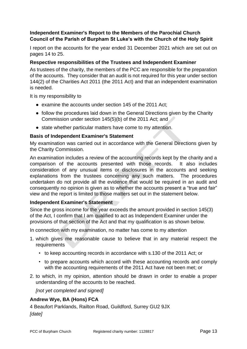#### **Independent Examiner's Report to the Members of the Parochial Church Council of the Parish of Burpham St Luke's with the Church of the Holy Spirit**

I report on the accounts for the year ended 31 December 2021 which are set out on pages 14 to 25.

#### **Respective responsibilities of the Trustees and Independent Examiner**

As trustees of the charity, the members of the PCC are responsible for the preparation of the accounts. They consider that an audit is not required for this year under section 144(2) of the Charities Act 2011 (the 2011 Act) and that an independent examination is needed.

It is my responsibility to

- examine the accounts under section 145 of the 2011 Act;
- follow the procedures laid down in the General Directions given by the Charity Commission under section 145(5)(b) of the 2011 Act; and
- state whether particular matters have come to my attention.

#### **Basis of Independent Examiner's Statement**

My examination was carried out in accordance with the General Directions given by the Charity Commission.

An examination includes a review of the accounting records kept by the charity and a comparison of the accounts presented with those records. It also includes consideration of any unusual items or disclosures in the accounts and seeking explanations from the trustees concerning any such matters. The procedures undertaken do not provide all the evidence that would be required in an audit and consequently no opinion is given as to whether the accounts present a "true and fair" view and the report is limited to those matters set out in the statement below.

#### **Independent Examiner's Statement**

Since the gross income for the year exceeds the amount provided in section 145(3) of the Act, I confirm that I am qualified to act as Independent Examiner under the provisions of that section of the Act and that my qualification is as shown below.

In connection with my examination, no matter has come to my attention

- 1. which gives me reasonable cause to believe that in any material respect the requirements
	- to keep accounting records in accordance with s.130 of the 2011 Act; or
	- to prepare accounts which accord with these accounting records and comply with the accounting requirements of the 2011 Act have not been met; or
- 2. to which, in my opinion, attention should be drawn in order to enable a proper understanding of the accounts to be reached.

*[not yet completed and signed]*

#### **Andrew Wye, BA (Hons) FCA**

4 Beaufort Parklands, Railton Road, Guildford, Surrey GU2 9JX *[date]*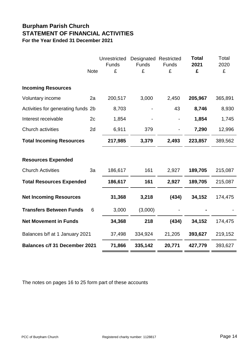### **Burpham Parish Church STATEMENT OF FINANCIAL ACTIVITIES For the Year Ended 31 December 2021**

|                                                       | <b>Note</b> | Unrestricted<br>Funds<br>£ | Designated<br>Funds<br>£ | Restricted<br>Funds<br>£ | <b>Total</b><br>2021<br>£ | Total<br>2020<br>£ |
|-------------------------------------------------------|-------------|----------------------------|--------------------------|--------------------------|---------------------------|--------------------|
| <b>Incoming Resources</b>                             |             |                            |                          |                          |                           |                    |
| Voluntary income                                      | 2a          | 200,517                    | 3,000                    | 2,450                    | 205,967                   | 365,891            |
| Activities for generating funds 2b                    |             | 8,703                      |                          | 43                       | 8,746                     | 8,930              |
| Interest receivable                                   | 2c          | 1,854                      |                          |                          | 1,854                     | 1,745              |
| Church activities                                     | 2d          | 6,911                      | 379                      |                          | 7,290                     | 12,996             |
| <b>Total Incoming Resources</b>                       |             | 217,985                    | 3,379                    | 2,493                    | 223,857                   | 389,562            |
| <b>Resources Expended</b><br><b>Church Activities</b> | 3a          | 186,617                    | 161                      | 2,927                    | 189,705                   | 215,087            |
|                                                       |             |                            |                          |                          |                           |                    |
| <b>Total Resources Expended</b>                       |             | 186,617                    | 161                      | 2,927                    | 189,705                   | 215,087            |
| <b>Net Incoming Resources</b>                         |             | 31,368                     | 3,218                    | (434)                    | 34,152                    | 174,475            |
| <b>Transfers Between Funds</b>                        | 6           | 3,000                      | (3,000)                  |                          |                           |                    |
| <b>Net Movement in Funds</b>                          |             | 34,368                     | 218                      | (434)                    | 34,152                    | 174,475            |
| Balances b/f at 1 January 2021                        |             | 37,498                     | 334,924                  | 21,205                   | 393,627                   | 219,152            |
| <b>Balances c/f 31 December 2021</b>                  |             | 71,866                     | 335,142                  | 20,771                   | 427,779                   | 393,627            |

The notes on pages 16 to 25 form part of these accounts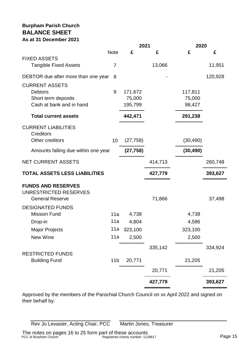#### **Burpham Parish Church BALANCE SHEET As at 31 December 2021**

|                                      |                 | 2021      |         | 2020      |         |
|--------------------------------------|-----------------|-----------|---------|-----------|---------|
|                                      | <b>Note</b>     | £         | £       | £         | £       |
| <b>FIXED ASSETS</b>                  |                 |           |         |           |         |
| <b>Tangible Fixed Assets</b>         | 7               |           | 13,066  |           | 11,951  |
| DEBTOR due after more than one year  | 8               |           |         |           | 120,928 |
| <b>CURRENT ASSETS</b>                |                 |           |         |           |         |
| <b>Debtors</b>                       | 9               | 171,672   |         | 117,811   |         |
| Short term deposits                  |                 | 75,000    |         | 75,000    |         |
| Cash at bank and in hand             |                 | 195,799   |         | 98,427    |         |
| <b>Total current assets</b>          |                 | 442,471   |         | 291,238   |         |
| <b>CURRENT LIABILITIES</b>           |                 |           |         |           |         |
| <b>Creditors</b>                     |                 |           |         |           |         |
| Other creditors                      | 10              | (27, 758) |         | (30, 490) |         |
| Amounts falling due within one year  |                 | (27, 758) |         | (30, 490) |         |
| <b>NET CURRENT ASSETS</b>            |                 |           | 414,713 |           | 260,748 |
| <b>TOTAL ASSETS LESS LIABILITIES</b> |                 |           | 427,779 |           | 393,627 |
| <b>FUNDS AND RESERVES</b>            |                 |           |         |           |         |
| UNRESTRICTED RESERVES                |                 |           |         |           |         |
| <b>General Reserve</b>               |                 |           | 71,866  |           | 37,498  |
| <b>DESIGNATED FUNDS</b>              |                 |           |         |           |         |
| <b>Mission Fund</b>                  | 11a             | 4,738     |         | 4,738     |         |
| Drop-in                              | 11a             | 4,804     |         | 4,586     |         |
| <b>Major Projects</b>                | 11a             | 323,100   |         | 323,100   |         |
| New Wine                             | 11a             | 2,500     |         | 2,500     |         |
|                                      |                 |           | 335,142 |           | 334,924 |
| <b>RESTRICTED FUNDS</b>              |                 |           |         |           |         |
| <b>Building Fund</b>                 | 11 <sub>b</sub> | 20,771    |         | 21,205    |         |
|                                      |                 |           | 20,771  |           | 21,205  |
|                                      |                 |           | 427,779 |           | 393,627 |
|                                      |                 |           |         |           |         |

Approved by the members of the Parochial Church Council on xx April 2022 and signed on their behalf by:

Rev Jo Levasier, Acting Chair, PCC Martin Jones, Treasurer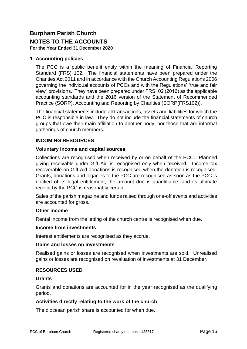### **Burpham Parish Church NOTES TO THE ACCOUNTS**

**For the Year Ended 31 December 2020**

#### **1 Accounting policies**

The PCC is a public benefit entity within the meaning of Financial Reporting Standard (FRS) 102. The financial statements have been prepared under the Charities Act 2011 and in accordance with the Church Accounting Regulations 2006 governing the individual accounts of PCCs and with the Regulations' "true and fair view" provisions. They have been prepared under FRS102 (2016) as the applicable accounting standards and the 2016 version of the Statement of Recommended Practice (SORP), Accounting and Reporting by Charities (SORP(FRS102)).

The financial statements include all transactions, assets and liabilities for which the PCC is responsible in law. They do not include the financial statements of church groups that owe their main affiliation to another body, nor those that are informal gatherings of church members.

#### **INCOMING RESOURCES**

#### **Voluntary income and capital sources**

Collections are recognised when received by or on behalf of the PCC. Planned giving receivable under Gift Aid is recognised only when received. Income tax recoverable on Gift Aid donations is recognised when the donation is recognised. Grants, donations and legacies to the PCC are recognised as soon as the PCC is notified of its legal entitlement, the amount due is quantifiable, and its ultimate receipt by the PCC is reasonably certain.

Sales of the parish magazine and funds raised through one-off events and activities are accounted for gross.

#### **Other income**

Rental income from the letting of the church centre is recognised when due.

#### **Income from investments**

Interest entitlements are recognised as they accrue.

#### **Gains and losses on investments**

Realised gains or losses are recognised when investments are sold. Unrealised gains or losses are recognised on revaluation of investments at 31 December.

#### **RESOURCES USED**

#### **Grants**

Grants and donations are accounted for in the year recognised as the qualifying period.

#### **Activities directly relating to the work of the church**

The diocesan parish share is accounted for when due.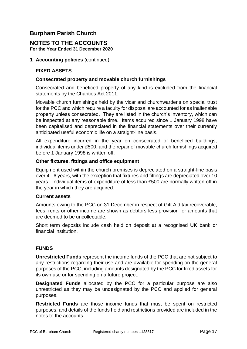#### **Burpham Parish Church**

#### **NOTES TO THE ACCOUNTS For the Year Ended 31 December 2020**

#### **1 Accounting policies** (continued)

#### **FIXED ASSETS**

#### **Consecrated property and movable church furnishings**

Consecrated and beneficed property of any kind is excluded from the financial statements by the Charities Act 2011.

Movable church furnishings held by the vicar and churchwardens on special trust for the PCC and which require a faculty for disposal are accounted for as inalienable property unless consecrated. They are listed in the church's inventory, which can be inspected at any reasonable time. Items acquired since 1 January 1998 have been capitalised and depreciated in the financial statements over their currently anticipated useful economic life on a straight-line basis.

All expenditure incurred in the year on consecrated or beneficed buildings, individual items under £500, and the repair of movable church furnishings acquired before 1 January 1998 is written off.

#### **Other fixtures, fittings and office equipment**

Equipment used within the church premises is depreciated on a straight-line basis over 4 - 6 years, with the exception that fixtures and fittings are depreciated over 10 years. Individual items of expenditure of less than £500 are normally written off in the year in which they are acquired.

#### **Current assets**

Amounts owing to the PCC on 31 December in respect of Gift Aid tax recoverable, fees, rents or other income are shown as debtors less provision for amounts that are deemed to be uncollectable.

Short term deposits include cash held on deposit at a recognised UK bank or financial institution.

#### **FUNDS**

**Unrestricted Funds** represent the income funds of the PCC that are not subject to any restrictions regarding their use and are available for spending on the general purposes of the PCC, including amounts designated by the PCC for fixed assets for its own use or for spending on a future project.

**Designated Funds** allocated by the PCC for a particular purpose are also unrestricted as they may be undesignated by the PCC and applied for general purposes.

**Restricted Funds** are those income funds that must be spent on restricted purposes, and details of the funds held and restrictions provided are included in the notes to the accounts.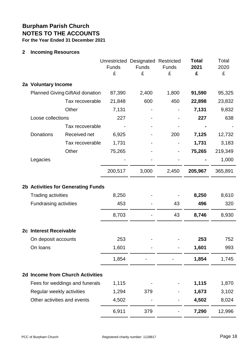#### **2 Incoming Resources**

|                               |                                         | <b>Funds</b><br>£ | Unrestricted Designated Restricted<br><b>Funds</b><br>£ | <b>Funds</b><br>£ | <b>Total</b><br>2021<br>£ | Total<br>2020<br>£ |
|-------------------------------|-----------------------------------------|-------------------|---------------------------------------------------------|-------------------|---------------------------|--------------------|
| 2a Voluntary Income           |                                         |                   |                                                         |                   |                           |                    |
|                               | <b>Planned Giving GiftAid donation</b>  | 87,390            | 2,400                                                   | 1,800             | 91,590                    | 95,325             |
|                               | Tax recoverable                         | 21,848            | 600                                                     | 450               | 22,898                    | 23,832             |
|                               | Other                                   | 7,131             |                                                         |                   | 7,131                     | 9,832              |
| Loose collections             |                                         | 227               |                                                         |                   | 227                       | 638                |
|                               | Tax recoverable                         |                   |                                                         |                   |                           |                    |
| Donations                     | Received net                            | 6,925             |                                                         | 200               | 7,125                     | 12,732             |
|                               | Tax recoverable                         | 1,731             |                                                         |                   | 1,731                     | 3,183              |
|                               | Other                                   | 75,265            |                                                         |                   | 75,265                    | 219,349            |
| Legacies                      |                                         |                   |                                                         |                   |                           | 1,000              |
|                               |                                         | 200,517           | 3,000                                                   | 2,450             | 205,967                   | 365,891            |
|                               | 2b Activities for Generating Funds      |                   |                                                         |                   |                           |                    |
| <b>Trading activities</b>     |                                         | 8,250             |                                                         |                   | 8,250                     | 8,610              |
| <b>Fundraising activities</b> |                                         | 453               |                                                         | 43                | 496                       | 320                |
|                               |                                         | 8,703             |                                                         | 43                | 8,746                     | 8,930              |
| 2c Interest Receivable        |                                         |                   |                                                         |                   |                           |                    |
| On deposit accounts           |                                         | 253               |                                                         |                   | 253                       | 752                |
| On loans                      |                                         | 1,601             |                                                         |                   | 1,601                     | 993                |
|                               |                                         | 1,854             |                                                         |                   | 1,854                     | 1,745              |
|                               | <b>2d Income from Church Activities</b> |                   |                                                         |                   |                           |                    |
|                               | Fees for weddings and funerals          | 1,115             |                                                         |                   | 1,115                     | 1,870              |
| Regular weekly activities     |                                         | 1,294             | 379                                                     |                   | 1,673                     | 3,102              |
|                               | Other activities and events             | 4,502             |                                                         |                   | 4,502                     | 8,024              |
|                               |                                         | 6,911             | 379                                                     |                   | 7,290                     | 12,996             |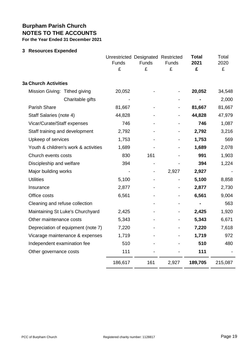#### **3 Resources Expended**

|                                      | Unrestricted Designated Restricted<br>Funds<br>£ | <b>Funds</b><br>£ | Funds<br>£     | <b>Total</b><br>2021<br>£ | Total<br>2020<br>£ |
|--------------------------------------|--------------------------------------------------|-------------------|----------------|---------------------------|--------------------|
| <b>3a Church Activities</b>          |                                                  |                   |                |                           |                    |
| Mission Giving: Tithed giving        | 20,052                                           |                   |                | 20,052                    | 34,548             |
| Charitable gifts                     |                                                  |                   |                |                           | 2,000              |
| <b>Parish Share</b>                  | 81,667                                           |                   | $\blacksquare$ | 81,667                    | 81,667             |
| Staff Salaries (note 4)              | 44,828                                           |                   |                | 44,828                    | 47,979             |
| Vicar/Curate/Staff expenses          | 746                                              |                   |                | 746                       | 1,087              |
| Staff training and development       | 2,792                                            |                   |                | 2,792                     | 3,216              |
| Upkeep of services                   | 1,753                                            |                   |                | 1,753                     | 569                |
| Youth & children's work & activities | 1,689                                            |                   |                | 1,689                     | 2,078              |
| Church events costs                  | 830                                              | 161               |                | 991                       | 1,903              |
| Discipleship and welfare             | 394                                              |                   |                | 394                       | 1,224              |
| Major building works                 |                                                  |                   | 2,927          | 2,927                     |                    |
| <b>Utilities</b>                     | 5,100                                            |                   |                | 5,100                     | 8,858              |
| Insurance                            | 2,877                                            |                   |                | 2,877                     | 2,730              |
| Office costs                         | 6,561                                            |                   |                | 6,561                     | 9,004              |
| Cleaning and refuse collection       |                                                  |                   |                | -                         | 563                |
| Maintaining St Luke's Churchyard     | 2,425                                            |                   |                | 2,425                     | 1,920              |
| Other maintenance costs              | 5,343                                            |                   |                | 5,343                     | 6,671              |
| Depreciation of equipment (note 7)   | 7,220                                            |                   |                | 7,220                     | 7,618              |
| Vicarage maintenance & expenses      | 1,719                                            |                   |                | 1,719                     | 972                |
| Independent examination fee          | 510                                              |                   |                | 510                       | 480                |
| Other governance costs               | 111                                              |                   |                | 111                       |                    |
|                                      | 186,617                                          | 161               | 2,927          | 189,705                   | 215,087            |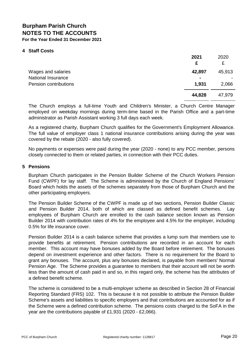#### **4 Staff Costs**

|                                                                   | 2021<br>£                         | 2020<br>£       |
|-------------------------------------------------------------------|-----------------------------------|-----------------|
| Wages and salaries<br>National Insurance<br>Pension contributions | 42,897<br>$\blacksquare$<br>1,931 | 45,913<br>2,066 |
|                                                                   | 44,828                            | 47,979          |

The Church employs a full-time Youth and Children's Minister, a Church Centre Manager employed on weekday mornings during term-time based in the Parish Office and a part-time administrator as Parish Assistant working 3 full days each week.

As a registered charity, Burpham Church qualifies for the Government's Employment Allowance. The full value of employer class 1 national insurance contributions arising during the year was covered by the rebate (2020 - also fully covered).

No payments or expenses were paid during the year (2020 - none) to any PCC member, persons closely connected to them or related parties, in connection with their PCC duties.

#### **5 Pensions**

Burpham Church participates in the Pension Builder Scheme of the Church Workers Pension Fund (CWPF) for lay staff. The Scheme is administered by the Church of England Pensions' Board which holds the assets of the schemes separately from those of Burpham Church and the other participating employers.

The Pension Builder Scheme of the CWPF is made up of two sections, Pension Builder Classic and Pension Builder 2014, both of which are classed as defined benefit schemes. Lay employees of Burpham Church are enrolled to the cash balance section known as Pension Builder 2014 with contribution rates of 4% for the employee and 4.5% for the employer, including 0.5% for life insurance cover.

Pension Builder 2014 is a cash balance scheme that provides a lump sum that members use to provide benefits at retirement. Pension contributions are recorded in an account for each member. This account may have bonuses added by the Board before retirement. The bonuses depend on investment experience and other factors. There is no requirement for the Board to grant any bonuses. The account, plus any bonuses declared, is payable from members' Normal Pension Age. The Scheme provides a guarantee to members that their account will not be worth less than the amount of cash paid in and so, in this regard only, the scheme has the attributes of a defined benefit scheme.

The scheme is considered to be a multi-employer scheme as described in Section 28 of Financial Reporting Standard (FRS) 102. This is because it is not possible to attribute the Pension Builder Scheme's assets and liabilities to specific employers and that contributions are accounted for as if the Scheme were a defined contribution scheme. The pensions costs charged to the SoFA in the year are the contributions payable of £1,931 (2020 - £2,066).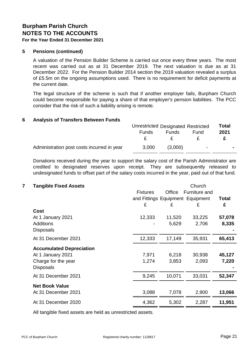#### **5 Pensions (continued)**

A valuation of the Pension Builder Scheme is carried out once every three years. The most recent was carried out as at 31 December 2019. The next valuation is due as at 31 December 2022. For the Pension Builder 2014 section the 2019 valuation revealed a surplus of £5.5m on the ongoing assumptions used. There is no requirement for deficit payments at the current date.

The legal structure of the scheme is such that if another employer fails, Burpham Church could become responsible for paying a share of that employer's pension liabilities. The PCC consider that the risk of such a liability arising is remote.

#### **6 Analysis of Transfers Between Funds**

|                                            | Unrestricted Designated Restricted |              |                | <b>Total</b> |
|--------------------------------------------|------------------------------------|--------------|----------------|--------------|
|                                            | <b>Funds</b>                       | <b>Funds</b> | Fund           | 2021         |
|                                            |                                    |              |                |              |
| Administration post costs incurred in year | 3,000                              | (3,000)      | $\blacksquare$ |              |

Donations received during the year to support the salary cost of the Parish Administrator are credited to designated reserves upon receipt. They are subsequently released to undesignated funds to offset part of the salary costs incurred in the year, paid out of that fund.

#### **7 Tangible Fixed Assets** Church

|                                 | <b>Fixtures</b><br>and Fittings Equipment Equipment<br>£ | Office<br>£ | Furniture and<br>£ | Total<br>£ |
|---------------------------------|----------------------------------------------------------|-------------|--------------------|------------|
| Cost                            |                                                          |             |                    |            |
| At 1 January 2021               | 12,333                                                   | 11,520      | 33,225             | 57,078     |
| <b>Additions</b>                |                                                          | 5,629       | 2,706              | 8,335      |
| <b>Disposals</b>                |                                                          |             |                    |            |
| At 31 December 2021             | 12,333                                                   | 17,149      | 35,931             | 65,413     |
| <b>Accumulated Depreciation</b> |                                                          |             |                    |            |
| At 1 January 2021               | 7,971                                                    | 6,218       | 30,938             | 45,127     |
| Charge for the year             | 1,274                                                    | 3,853       | 2,093              | 7,220      |
| <b>Disposals</b>                |                                                          |             |                    |            |
| At 31 December 2021             | 9,245                                                    | 10,071      | 33,031             | 52,347     |
| <b>Net Book Value</b>           |                                                          |             |                    |            |
| At 31 December 2021             | 3,088                                                    | 7,078       | 2,900              | 13,066     |
| At 31 December 2020             | 4,362                                                    | 5,302       | 2,287              | 11,951     |

All tangible fixed assets are held as unrestricted assets.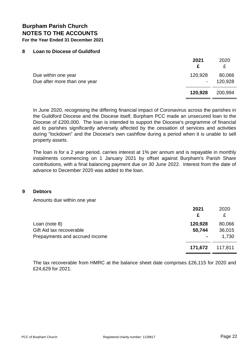#### **8 Loan to Diocese of Guildford**

|                                                     | 2021                  | 2020<br>£         |
|-----------------------------------------------------|-----------------------|-------------------|
| Due within one year<br>Due after more than one year | 120,928<br>$\sim 100$ | 80,066<br>120,928 |
|                                                     | 120,928               | 200,994           |

In June 2020, recognising the differing financial impact of Coronavirus across the parishes in the Guildford Diocese and the Diocese itself, Burpham PCC made an unsecured loan to the Diocese of £200,000. The loan is intended to support the Diocese's programme of financial aid to parishes significantly adversely affected by the cessation of services and activities during "lockdown" and the Diocese's own cashflow during a period when it is unable to sell property assets.

The loan is for a 2 year period, carries interest at 1% per annum and is repayable in monthly instalments commencing on 1 January 2021 by offset against Burpham's Parish Share contributions, with a final balancing payment due on 30 June 2022. Interest from the date of advance to December 2020 was added to the loan.

#### **9 Debtors**

Amounts due within one year

|                                                                             | 2021<br>£         | 2020<br>£                 |
|-----------------------------------------------------------------------------|-------------------|---------------------------|
| Loan (note 8)<br>Gift Aid tax recoverable<br>Prepayments and accrued income | 120,928<br>50,744 | 80,066<br>36,015<br>1,730 |
|                                                                             | 171,672           | 117,811                   |

The tax recoverable from HMRC at the balance sheet date comprises £26,115 for 2020 and £24,629 for 2021.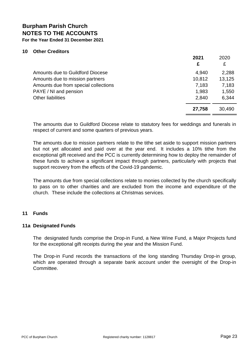#### **10 Other Creditors**

|                                      | 2021<br>£ | 2020<br>£ |
|--------------------------------------|-----------|-----------|
| Amounts due to Guildford Diocese     | 4,940     | 2,288     |
| Amounts due to mission partners      | 10,812    | 13,125    |
| Amounts due from special collections | 7,183     | 7,183     |
| PAYE / NI and pension                | 1,983     | 1,550     |
| <b>Other liabilities</b>             | 2,840     | 6,344     |
|                                      | 27,758    | 30,490    |

The amounts due to Guildford Diocese relate to statutory fees for weddings and funerals in respect of current and some quarters of previous years.

The amounts due to mission partners relate to the tithe set aside to support mission partners but not yet allocated and paid over at the year end. It includes a 10% tithe from the exceptional gift received and the PCC is currently determining how to deploy the remainder of these funds to achieve a significant impact through partners, particularly with projects that support recovery from the effects of the Covid-19 pandemic.

The amounts due from special collections relate to monies collected by the church specifically to pass on to other charities and are excluded from the income and expenditure of the church. These include the collections at Christmas services.

#### **11 Funds**

#### **11a Designated Funds**

The designated funds comprise the Drop-in Fund, a New Wine Fund, a Major Projects fund for the exceptional gift receipts during the year and the Mission Fund.

The Drop-in Fund records the transactions of the long standing Thursday Drop-in group, which are operated through a separate bank account under the oversight of the Drop-in Committee.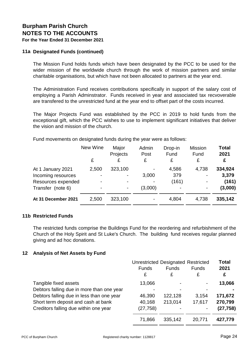#### **11a Designated Funds (continued)**

The Mission Fund holds funds which have been designated by the PCC to be used for the wider mission of the worldwide church through the work of mission partners and similar charitable organisations, but which have not been allocated to partners at the year end.

The Administration Fund receives contributions specifically in support of the salary cost of employing a Parish Adminstrator. Funds received in year and associated tax recvoverable are transfered to the unrestricted fund at the year end to offset part of the costs incurred.

The Major Projects Fund was established by the PCC in 2019 to hold funds from the exceptional gift, which the PCC wishes to use to implement significant initiatives that deliver the vision and mission of the church.

Fund movements on designated funds during the year were as follows:

|                     | New Wine | Major<br>Projects | Admin<br>Post            | Drop-in<br>Fund | <b>Mission</b><br>Fund | <b>Total</b><br>2021 |
|---------------------|----------|-------------------|--------------------------|-----------------|------------------------|----------------------|
|                     | £        | £                 | £                        | £               | £                      | £                    |
| At 1 January 2021   | 2,500    | 323,100           | $\overline{\phantom{a}}$ | 4,586           | 4,738                  | 334,924              |
| Incoming resources  |          |                   | 3,000                    | 379             |                        | 3,379                |
| Resources expended  |          |                   | $\blacksquare$           | (161)           |                        | (161)                |
| Transfer (note 6)   |          |                   | (3,000)                  |                 |                        | (3,000)              |
| At 31 December 2021 | 2,500    | 323,100           | $\blacksquare$           | 4,804           | 4,738                  | 335,142              |

#### **11b Restricted Funds**

The restricted funds comprise the Buildings Fund for the reordering and refurbishment of the Church of the Holy Spirit and St Luke's Church. The building fund receives regular planned giving and ad hoc donations.

#### **12 Analysis of Net Assets by Fund**

|                                           | <b>Unrestricted Designated Restricted</b> | <b>Total</b>   |                   |           |
|-------------------------------------------|-------------------------------------------|----------------|-------------------|-----------|
|                                           | <b>Funds</b>                              | <b>Funds</b>   | <b>Funds</b><br>£ | 2021      |
|                                           | £                                         | £              |                   | £         |
| Tangible fixed assets                     | 13,066                                    | $\overline{a}$ |                   | 13,066    |
| Debtors falling due in more than one year |                                           |                |                   |           |
| Debtors falling due in less than one year | 46,390                                    | 122,128        | 3.154             | 171,672   |
| Short term deposit and cash at bank       | 40,168                                    | 213,014        | 17,617            | 270,799   |
| Creditors falling due within one year     | (27, 758)                                 |                |                   | (27, 758) |
|                                           | 71,866                                    | 335,142        | 20,771            | 427,779   |